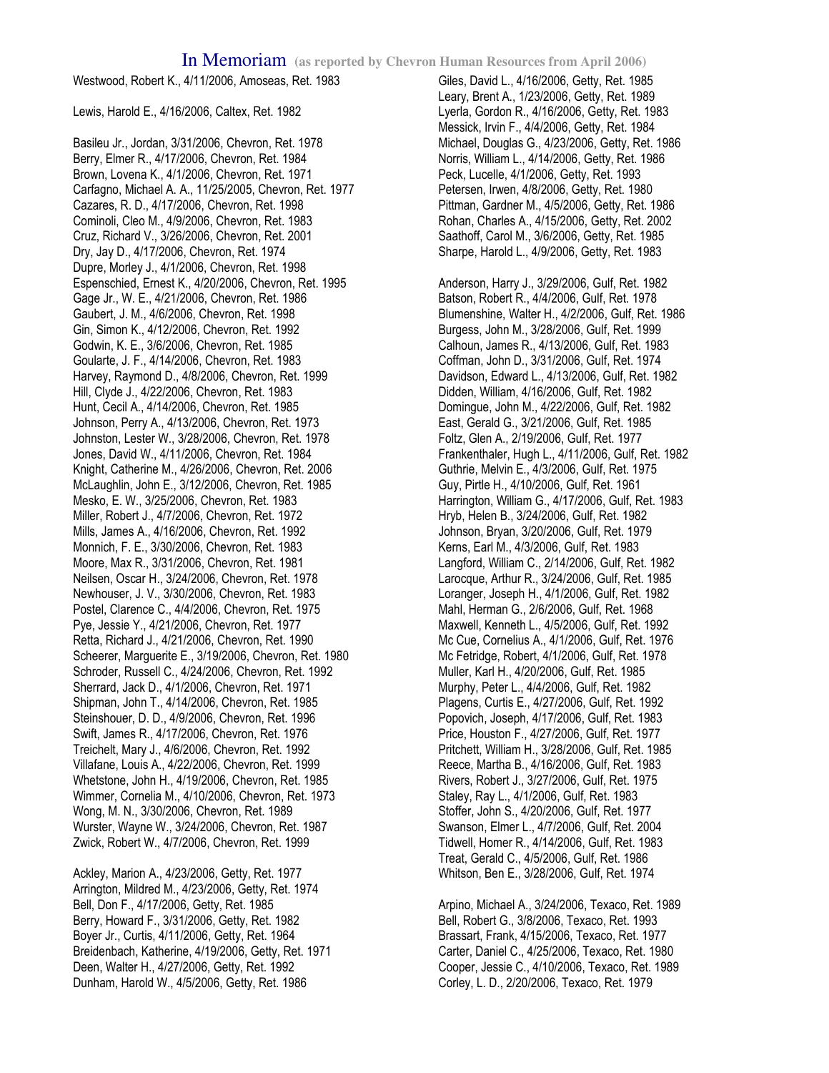Westwood, Robert K., 4/11/2006, Amoseas, Ret. 1983

Lewis, Harold E., 4/16/2006, Caltex, Ret. 1982

Basileu Jr., Jordan, 3/31/2006, Chevron, Ret. 1978 Berry, Elmer R., 4/17/2006, Chevron, Ret. 1984 Brown, Lovena K., 4/1/2006, Chevron, Ret. 1971 Carfagno, Michael A. A., 11/25/2005, Chevron, Ret. 1977 Cazares, R. D., 4/17/2006, Chevron, Ret. 1998 Cominoli, Cleo M., 4/9/2006, Chevron, Ret. 1983 Cruz, Richard V., 3/26/2006, Chevron, Ret. 2001 Dry, Jay D., 4/17/2006, Chevron, Ret. 1974 Dupre, Morley J., 4/1/2006, Chevron, Ret. 1998 Espenschied, Ernest K., 4/20/2006, Chevron, Ret. 1995 Gage Jr., W. E., 4/21/2006, Chevron, Ret. 1986 Gaubert, J. M., 4/6/2006, Chevron, Ret. 1998 Gin, Simon K., 4/12/2006, Chevron, Ret. 1992 Godwin, K. E., 3/6/2006, Chevron, Ret. 1985 Goularte, J. F., 4/14/2006, Chevron, Ret. 1983 Harvey, Raymond D., 4/8/2006, Chevron, Ret. 1999 Hill, Clyde J., 4/22/2006, Chevron, Ret. 1983 Hunt, Cecil A., 4/14/2006, Chevron, Ret. 1985 Johnson, Perry A., 4/13/2006, Chevron, Ret. 1973 Johnston, Lester W., 3/28/2006, Chevron, Ret. 1978 Jones, David W., 4/11/2006, Chevron, Ret. 1984 Knight, Catherine M., 4/26/2006, Chevron, Ret. 2006 McLaughlin, John E., 3/12/2006, Chevron, Ret. 1985 Mesko, E. W., 3/25/2006, Chevron, Ret. 1983 Miller, Robert J., 4/7/2006, Chevron, Ret. 1972 Mills, James A., 4/16/2006, Chevron, Ret. 1992 Monnich, F. E., 3/30/2006, Chevron, Ret. 1983 Moore, Max R., 3/31/2006, Chevron, Ret. 1981 Neilsen, Oscar H., 3/24/2006, Chevron, Ret. 1978 Newhouser, J. V., 3/30/2006, Chevron, Ret. 1983 Postel, Clarence C., 4/4/2006, Chevron, Ret. 1975 Pye, Jessie Y., 4/21/2006, Chevron, Ret. 1977 Retta, Richard J., 4/21/2006, Chevron, Ret. 1990 Scheerer, Marguerite E., 3/19/2006, Chevron, Ret. 1980 Schroder, Russell C., 4/24/2006, Chevron, Ret. 1992 Sherrard, Jack D., 4/1/2006, Chevron, Ret. 1971 Shipman, John T., 4/14/2006, Chevron, Ret. 1985 Steinshouer, D. D., 4/9/2006, Chevron, Ret. 1996 Swift, James R., 4/17/2006, Chevron, Ret. 1976 Treichelt, Mary J., 4/6/2006, Chevron, Ret. 1992 Villafane, Louis A., 4/22/2006, Chevron, Ret. 1999 Whetstone, John H., 4/19/2006, Chevron, Ret. 1985 Wimmer, Cornelia M., 4/10/2006, Chevron, Ret. 1973 Wong, M. N., 3/30/2006, Chevron, Ret. 1989 Wurster, Wayne W., 3/24/2006, Chevron, Ret. 1987 Zwick, Robert W., 4/7/2006, Chevron, Ret. 1999

Ackley, Marion A., 4/23/2006, Getty, Ret. 1977 Arrington, Mildred M., 4/23/2006, Getty, Ret. 1974 Bell, Don F., 4/17/2006, Getty, Ret. 1985 Berry, Howard F., 3/31/2006, Getty, Ret. 1982 Boyer Jr., Curtis, 4/11/2006, Getty, Ret. 1964 Breidenbach, Katherine, 4/19/2006, Getty, Ret. 1971 Deen, Walter H., 4/27/2006, Getty, Ret. 1992 Dunham, Harold W., 4/5/2006, Getty, Ret. 1986

Giles, David L., 4/16/2006, Getty, Ret. 1985 Leary, Brent A., 1/23/2006, Getty, Ret. 1989 Lyerla, Gordon R., 4/16/2006, Getty, Ret. 1983 Messick, Irvin F., 4/4/2006, Getty, Ret. 1984 Michael, Douglas G., 4/23/2006, Getty, Ret. 1986 Norris, William L., 4/14/2006, Getty, Ret. 1986 Peck, Lucelle, 4/1/2006, Getty, Ret. 1993 Petersen, Irwen, 4/8/2006, Getty, Ret. 1980 Pittman, Gardner M., 4/5/2006, Getty, Ret. 1986 Rohan, Charles A., 4/15/2006, Getty, Ret. 2002 Saathoff, Carol M., 3/6/2006, Getty, Ret. 1985 Sharpe, Harold L., 4/9/2006, Getty, Ret. 1983

Anderson, Harry J., 3/29/2006, Gulf, Ret. 1982 Batson, Robert R., 4/4/2006, Gulf, Ret. 1978 Blumenshine, Walter H., 4/2/2006, Gulf, Ret. 1986 Burgess, John M., 3/28/2006, Gulf, Ret. 1999 Calhoun, James R., 4/13/2006, Gulf, Ret. 1983 Coffman, John D., 3/31/2006, Gulf, Ret. 1974 Davidson, Edward L., 4/13/2006, Gulf, Ret. 1982 Didden, William, 4/16/2006, Gulf, Ret. 1982 Domingue, John M., 4/22/2006, Gulf, Ret. 1982 East, Gerald G., 3/21/2006, Gulf, Ret. 1985 Foltz, Glen A., 2/19/2006, Gulf, Ret. 1977 Frankenthaler, Hugh L., 4/11/2006, Gulf, Ret. 1982 Guthrie, Melvin E., 4/3/2006, Gulf, Ret. 1975 Guy, Pirtle H., 4/10/2006, Gulf, Ret. 1961 Harrington, William G., 4/17/2006, Gulf, Ret. 1983 Hryb, Helen B., 3/24/2006, Gulf, Ret. 1982 Johnson, Bryan, 3/20/2006, Gulf, Ret. 1979 Kerns, Earl M., 4/3/2006, Gulf, Ret. 1983 Langford, William C., 2/14/2006, Gulf, Ret. 1982 Larocque, Arthur R., 3/24/2006, Gulf, Ret. 1985 Loranger, Joseph H., 4/1/2006, Gulf, Ret. 1982 Mahl, Herman G., 2/6/2006, Gulf, Ret. 1968 Maxwell, Kenneth L., 4/5/2006, Gulf, Ret. 1992 Mc Cue, Cornelius A., 4/1/2006, Gulf, Ret. 1976 Mc Fetridge, Robert, 4/1/2006, Gulf, Ret. 1978 Muller, Karl H., 4/20/2006, Gulf, Ret. 1985 Murphy, Peter L., 4/4/2006, Gulf, Ret. 1982 Plagens, Curtis E., 4/27/2006, Gulf, Ret. 1992 Popovich, Joseph, 4/17/2006, Gulf, Ret. 1983 Price, Houston F., 4/27/2006, Gulf, Ret. 1977 Pritchett, William H., 3/28/2006, Gulf, Ret. 1985 Reece, Martha B., 4/16/2006, Gulf, Ret. 1983 Rivers, Robert J., 3/27/2006, Gulf, Ret. 1975 Staley, Ray L., 4/1/2006, Gulf, Ret. 1983 Stoffer, John S., 4/20/2006, Gulf, Ret. 1977 Swanson, Elmer L., 4/7/2006, Gulf, Ret. 2004 Tidwell, Homer R., 4/14/2006, Gulf, Ret. 1983 Treat, Gerald C., 4/5/2006, Gulf, Ret. 1986 Whitson, Ben E., 3/28/2006, Gulf, Ret. 1974

Arpino, Michael A., 3/24/2006, Texaco, Ret. 1989 Bell, Robert G., 3/8/2006, Texaco, Ret. 1993 Brassart, Frank, 4/15/2006, Texaco, Ret. 1977 Carter, Daniel C., 4/25/2006, Texaco, Ret. 1980 Cooper, Jessie C., 4/10/2006, Texaco, Ret. 1989 Corley, L. D., 2/20/2006, Texaco, Ret. 1979